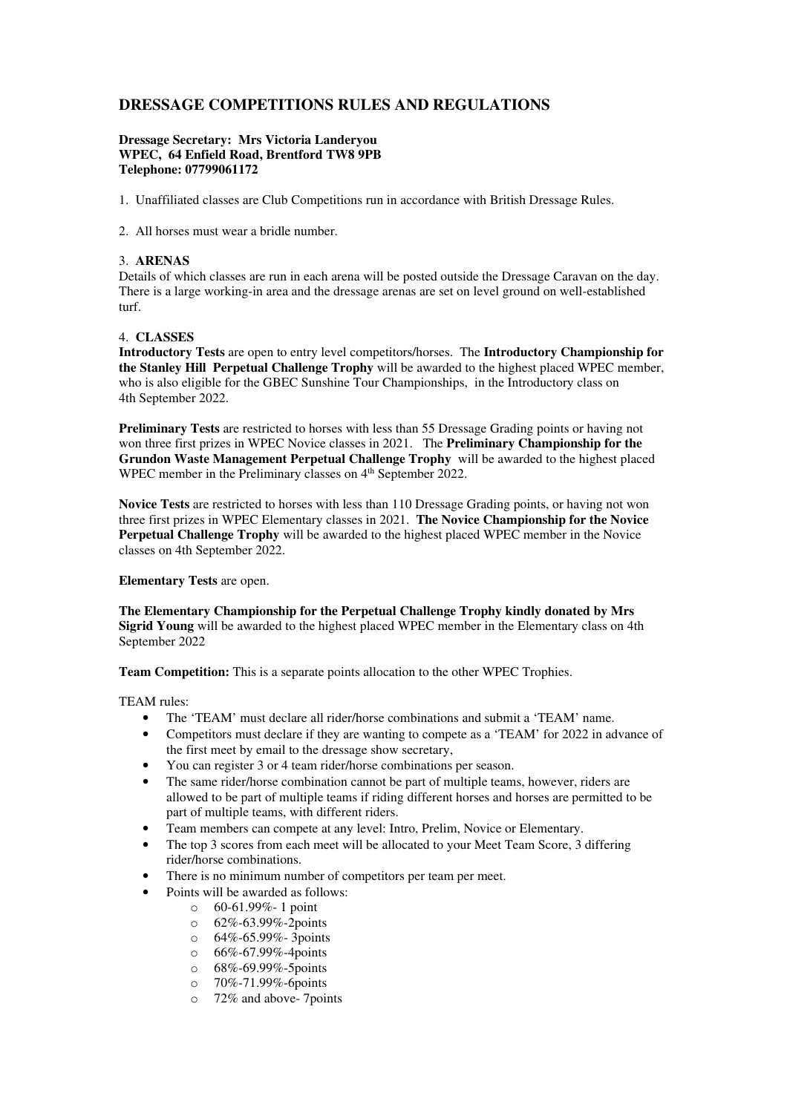# **DRESSAGE COMPETITIONS RULES AND REGULATIONS**

## **Dressage Secretary: Mrs Victoria Landeryou WPEC, 64 Enfield Road, Brentford TW8 9PB Telephone: 07799061172**

- 1. Unaffiliated classes are Club Competitions run in accordance with British Dressage Rules.
- 2. All horses must wear a bridle number.

# 3. **ARENAS**

Details of which classes are run in each arena will be posted outside the Dressage Caravan on the day. There is a large working-in area and the dressage arenas are set on level ground on well-established turf.

# 4. **CLASSES**

**Introductory Tests** are open to entry level competitors/horses. The **Introductory Championship for the Stanley Hill Perpetual Challenge Trophy** will be awarded to the highest placed WPEC member, who is also eligible for the GBEC Sunshine Tour Championships, in the Introductory class on 4th September 2022.

**Preliminary Tests** are restricted to horses with less than 55 Dressage Grading points or having not won three first prizes in WPEC Novice classes in 2021. The **Preliminary Championship for the Grundon Waste Management Perpetual Challenge Trophy** will be awarded to the highest placed WPEC member in the Preliminary classes on 4<sup>th</sup> September 2022.

**Novice Tests** are restricted to horses with less than 110 Dressage Grading points, or having not won three first prizes in WPEC Elementary classes in 2021. **The Novice Championship for the Novice Perpetual Challenge Trophy** will be awarded to the highest placed WPEC member in the Novice classes on 4th September 2022.

#### **Elementary Tests** are open.

**The Elementary Championship for the Perpetual Challenge Trophy kindly donated by Mrs Sigrid Young** will be awarded to the highest placed WPEC member in the Elementary class on 4th September 2022

**Team Competition:** This is a separate points allocation to the other WPEC Trophies.

TEAM rules:

- The 'TEAM' must declare all rider/horse combinations and submit a 'TEAM' name.
- Competitors must declare if they are wanting to compete as a 'TEAM' for 2022 in advance of the first meet by email to the dressage show secretary,
- You can register 3 or 4 team rider/horse combinations per season.
- The same rider/horse combination cannot be part of multiple teams, however, riders are allowed to be part of multiple teams if riding different horses and horses are permitted to be part of multiple teams, with different riders.
- Team members can compete at any level: Intro, Prelim, Novice or Elementary.
- The top 3 scores from each meet will be allocated to your Meet Team Score, 3 differing rider/horse combinations.
- There is no minimum number of competitors per team per meet.
- Points will be awarded as follows:
	- o 60-61.99%- 1 point
	- o 62%-63.99%-2points
	- $\circ$  64%-65.99%-3 points
	- o 66%-67.99%-4points
	- o 68%-69.99%-5points
	- o 70%-71.99%-6points
	- o 72% and above- 7points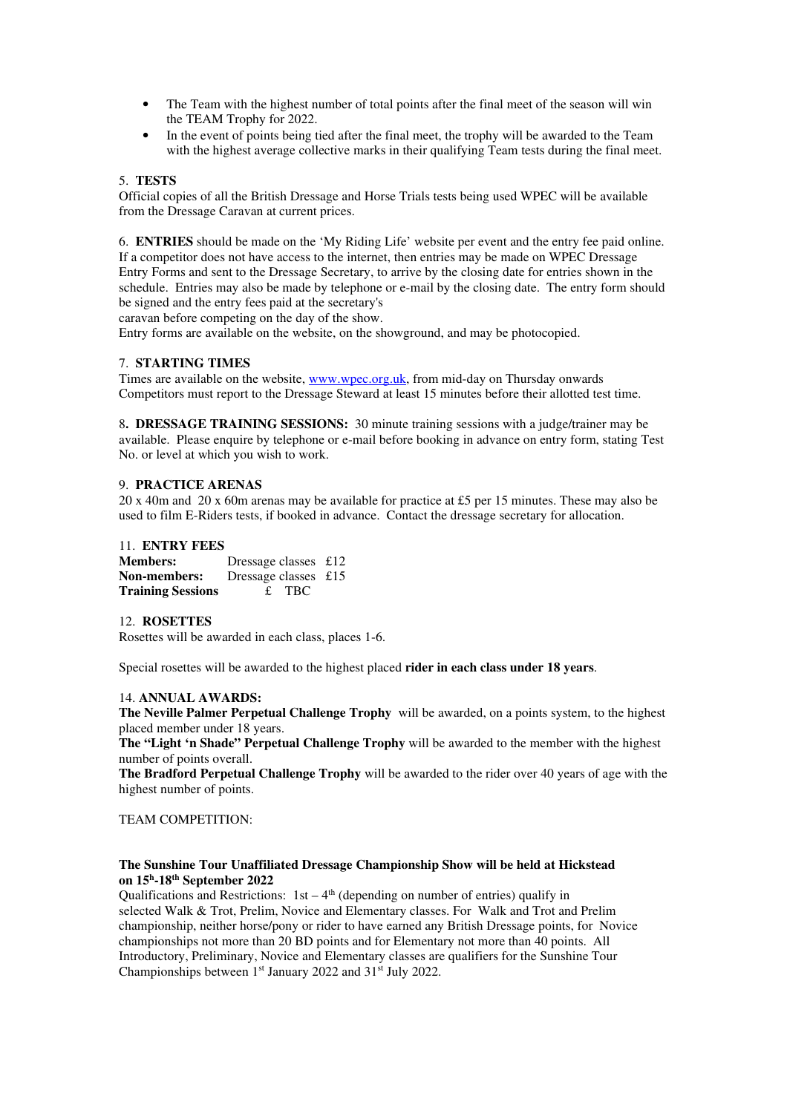- The Team with the highest number of total points after the final meet of the season will win the TEAM Trophy for 2022.
- In the event of points being tied after the final meet, the trophy will be awarded to the Team with the highest average collective marks in their qualifying Team tests during the final meet.

# 5. **TESTS**

Official copies of all the British Dressage and Horse Trials tests being used WPEC will be available from the Dressage Caravan at current prices.

6. **ENTRIES** should be made on the 'My Riding Life' website per event and the entry fee paid online. If a competitor does not have access to the internet, then entries may be made on WPEC Dressage Entry Forms and sent to the Dressage Secretary, to arrive by the closing date for entries shown in the schedule. Entries may also be made by telephone or e-mail by the closing date. The entry form should be signed and the entry fees paid at the secretary's

caravan before competing on the day of the show.

Entry forms are available on the website, on the showground, and may be photocopied.

## 7. **STARTING TIMES**

Times are available on the website, www.wpec.org.uk, from mid-day on Thursday onwards Competitors must report to the Dressage Steward at least 15 minutes before their allotted test time.

8**. DRESSAGE TRAINING SESSIONS:** 30 minute training sessions with a judge/trainer may be available. Please enquire by telephone or e-mail before booking in advance on entry form, stating Test No. or level at which you wish to work.

## 9. **PRACTICE ARENAS**

20 x 40m and 20 x 60m arenas may be available for practice at £5 per 15 minutes. These may also be used to film E-Riders tests, if booked in advance. Contact the dressage secretary for allocation.

# 11. **ENTRY FEES**

**Members:** Dressage classes £12 **Non-members:** Dressage classes £15 **Training Sessions** £ TBC

#### 12. **ROSETTES**

Rosettes will be awarded in each class, places 1-6.

Special rosettes will be awarded to the highest placed **rider in each class under 18 years**.

#### 14. **ANNUAL AWARDS:**

**The Neville Palmer Perpetual Challenge Trophy** will be awarded, on a points system, to the highest placed member under 18 years.

**The "Light 'n Shade" Perpetual Challenge Trophy** will be awarded to the member with the highest number of points overall.

**The Bradford Perpetual Challenge Trophy** will be awarded to the rider over 40 years of age with the highest number of points.

## TEAM COMPETITION:

# **The Sunshine Tour Unaffiliated Dressage Championship Show will be held at Hickstead on 15<sup>h</sup> -18th September 2022**

Qualifications and Restrictions:  $1st - 4<sup>th</sup>$  (depending on number of entries) qualify in selected Walk & Trot, Prelim, Novice and Elementary classes. For Walk and Trot and Prelim championship, neither horse/pony or rider to have earned any British Dressage points, for Novice championships not more than 20 BD points and for Elementary not more than 40 points. All Introductory, Preliminary, Novice and Elementary classes are qualifiers for the Sunshine Tour Championships between 1<sup>st</sup> January 2022 and 31<sup>st</sup> July 2022.